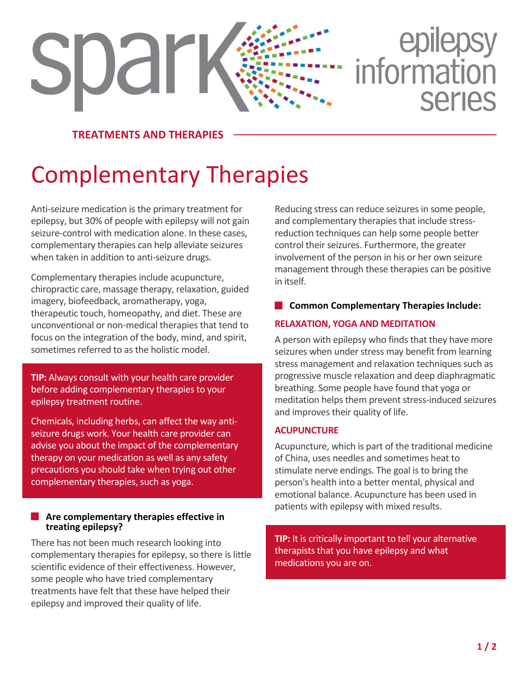# epilepsy<br>information spar **Series**

**TREATMENTS AND THERAPIES**

## Complementary Therapies

Anti-seizure medication is the primary treatment for epilepsy, but 30% of people with epilepsy will not gain seizure-control with medication alone. In these cases, complementary therapies can help alleviate seizures when taken in addition to anti-seizure drugs.

Complementary therapies include acupuncture, chiropractic care, massage therapy, relaxation, guided imagery, biofeedback, aromatherapy, yoga, therapeutic touch, homeopathy, and diet. These are unconventional or non-medical therapies that tend to focus on the integration of the body, mind, and spirit, sometimes referred to as the holistic model.

**TIP:** Always consult with your health care provider before adding complementary therapies to your epilepsy treatment routine.

Chemicals, including herbs, can affect the way antiseizure drugs work. Your health care provider can advise you about the impact of the complementary therapy on your medication as well as any safety precautions you should take when trying out other complementary therapies, such as yoga.

#### **Are complementary therapies effective in treating epilepsy?**

There has not been much research looking into complementary therapies for epilepsy, so there is little scientific evidence of their effectiveness. However, some people who have tried complementary treatments have felt that these have helped their epilepsy and improved their quality of life.

Reducing stress can reduce seizures in some people, and complementary therapies that include stressreduction techniques can help some people better control their seizures. Furthermore, the greater involvement of the person in his or her own seizure management through these therapies can be positive in itself.

#### **Common Complementary Therapies Include:**

#### **RELAXATION, YOGA AND MEDITATION**

A person with epilepsy who finds that they have more seizures when under stress may benefit from learning stress management and relaxation techniques such as progressive muscle relaxation and deep diaphragmatic breathing. Some people have found that yoga or meditation helps them prevent stress-induced seizures and improves their quality of life.

#### **ACUPUNCTURE**

Acupuncture, which is part of the traditional medicine of China, uses needles and sometimes heat to stimulate nerve endings. The goal is to bring the person's health into a better mental, physical and emotional balance. Acupuncture has been used in patients with epilepsy with mixed results.

**TIP:** It is critically important to tell your alternative therapists that you have epilepsy and what medications you are on.